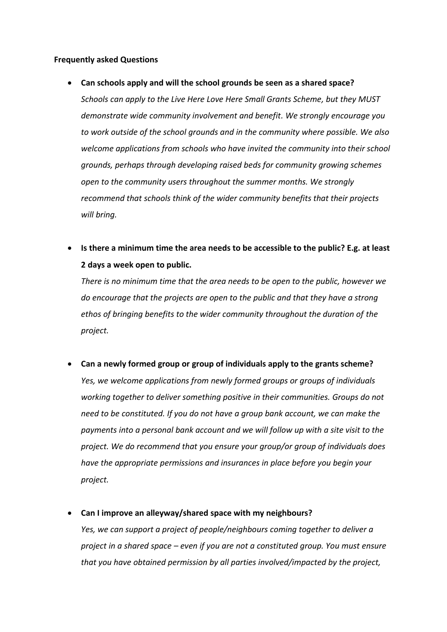#### **Frequently asked Questions**

#### **Can schools apply and will the school grounds be seen as a shared space?**

*Schools can apply to the Live Here Love Here Small Grants Scheme, but they MUST demonstrate wide community involvement and benefit. We strongly encourage you to work outside of the school grounds and in the community where possible. We also welcome applications from schools who have invited the community into their school grounds, perhaps through developing raised beds for community growing schemes open to the community users throughout the summer months. We strongly recommend that schools think of the wider community benefits that their projects will bring.*

 **Is there a minimum time the area needs to be accessible to the public? E.g. at least 2 days a week open to public.**

*There is no minimum time that the area needs to be open to the public, however we do encourage that the projects are open to the public and that they have a strong ethos of bringing benefits to the wider community throughout the duration of the project.*

**Can a newly formed group or group of individuals apply to the grants scheme?**

*Yes, we welcome applications from newly formed groups or groups of individuals working together to deliver something positive in their communities. Groups do not need to be constituted. If you do not have a group bank account, we can make the payments into a personal bank account and we will follow up with a site visit to the project. We do recommend that you ensure your group/or group of individuals does have the appropriate permissions and insurances in place before you begin your project.*

**Can I improve an alleyway/shared space with my neighbours?**

*Yes, we can support a project of people/neighbours coming together to deliver a project in a shared space – even if you are not a constituted group. You must ensure that you have obtained permission by all parties involved/impacted by the project,*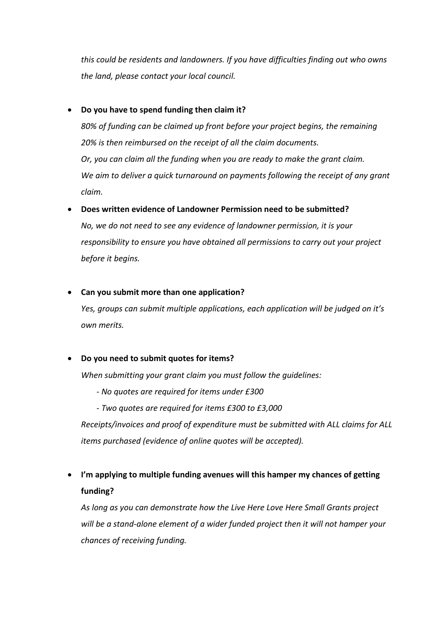*this could be residents and landowners. If you have difficulties finding out who owns the land, please contact your local council.*

## **Do you have to spend funding then claim it?**

*80% of funding can be claimed up front before your project begins, the remaining 20% is then reimbursed on the receipt of all the claim documents. Or, you can claim all the funding when you are ready to make the grant claim.*  We aim to deliver a quick turnaround on payments following the receipt of any grant *claim.*

# **Does written evidence of Landowner Permission need to be submitted?**

*No, we do not need to see any evidence of landowner permission, it is your responsibility to ensure you have obtained all permissions to carry out your project before it begins.*

### **Can you submit more than one application?**

*Yes, groups can submit multiple applications, each application will be judged on it's own merits.*

# **Do you need to submit quotes for items?**

*When submitting your grant claim you must follow the guidelines:*

- *- No quotes are required for items under £300*
- *- Two quotes are required for items £300 to £3,000*

*Receipts/invoices and proof of expenditure must be submitted with ALL claims for ALL items purchased (evidence of online quotes will be accepted).*

 **I'm applying to multiple funding avenues will this hamper my chances of getting funding?**

*As long as you can demonstrate how the Live Here Love Here Small Grants project will be a stand-alone element of a wider funded project then it will not hamper your chances of receiving funding.*